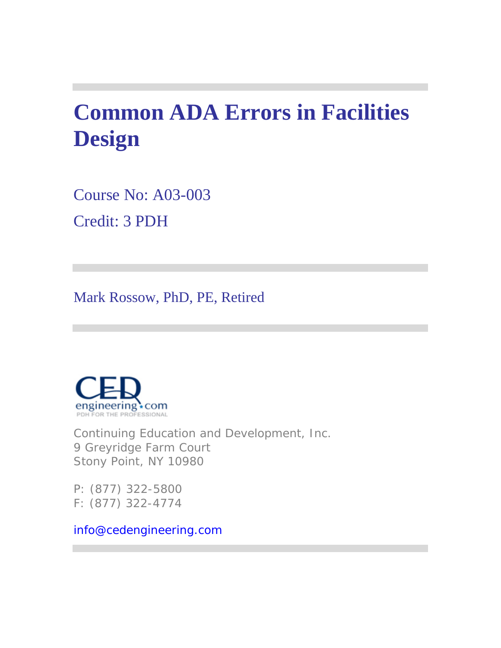# **Common ADA Errors in Facilities Design**

Course No: A03-003 Credit: 3 PDH

Mark Rossow, PhD, PE, Retired



Continuing Education and Development, Inc. 9 Greyridge Farm Court Stony Point, NY 10980

P: (877) 322-5800 F: (877) 322-4774

info@cedengineering.com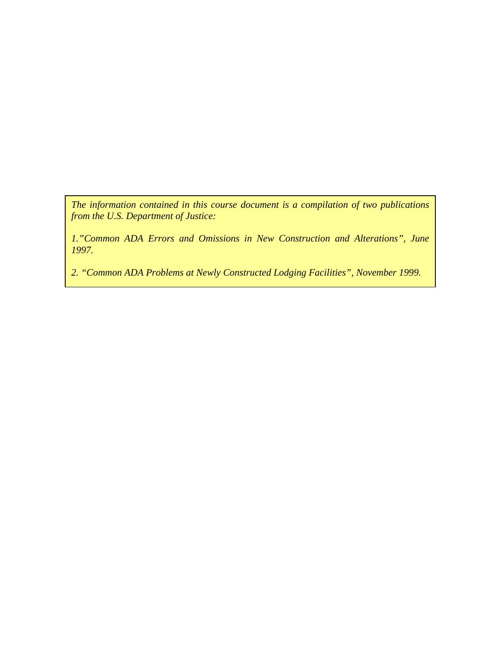*The information contained in this course document is a compilation of two publications from the U.S. Department of Justice:* 

*1."Common ADA Errors and Omissions in New Construction and Alterations", June 1997.* 

*2. "Common ADA Problems at Newly Constructed Lodging Facilities", November 1999.*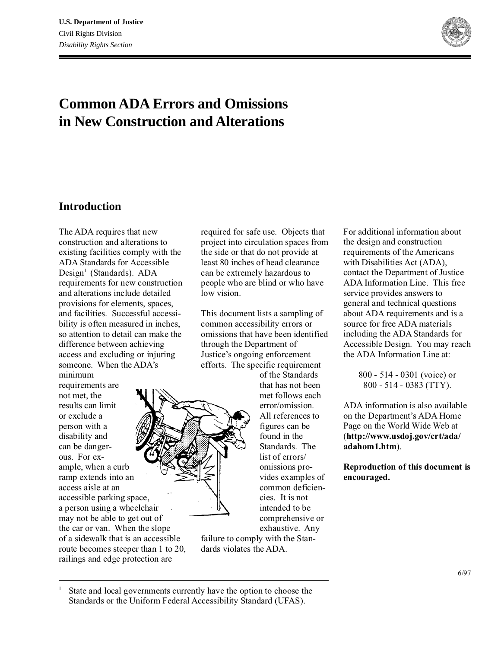

# **Common ADA Errors and Omissions in New Construction and Alterations**

### **Introduction**

The ADA requires that new construction and alterations to existing facilities comply with the ADA Standards for Accessible Design<sup>1</sup> (Standards). ADA requirements for new construction and alterations include detailed provisions for elements, spaces, and facilities. Successful accessibility is often measured in inches, so attention to detail can make the difference between achieving access and excluding or injuring someone. When the ADA's minimum

requirements are not met, the results can limit or exclude a person with a disability and can be dangerous. For example, when a curb ramp extends into an access aisle at an accessible parking space, a person using a wheelchair may not be able to get out of the car or van. When the slope of a sidewalk that is an accessible route becomes steeper than 1 to 20, railings and edge protection are

required for safe use. Objects that project into circulation spaces from the side or that do not provide at least 80 inches of head clearance can be extremely hazardous to people who are blind or who have low vision.

This document lists a sampling of common accessibility errors or omissions that have been identified through the Department of Justice's ongoing enforcement efforts. The specific requirement

of the Standards that has not been met follows each error/omission. All references to figures can be found in the Standards. The list of errors/ omissions provides examples of common deficiencies. It is not intended to be comprehensive or exhaustive. Any

failure to comply with the Standards violates the ADA.

For additional information about the design and construction requirements of the Americans with Disabilities Act (ADA), contact the Department of Justice ADA Information Line. This free service provides answers to general and technical questions about ADA requirements and is a source for free ADA materials including the ADA Standards for Accessible Design. You may reach the ADA Information Line at:

> 800 - 514 - 0301 (voice) or 800 - 514 - 0383 (TTY).

ADA information is also available on the Department's ADA Home Page on the World Wide Web at (**http://www.usdoj.gov/crt/ada/ adahom1.htm**).

**Reproduction of this document is encouraged.**

<sup>1</sup> State and local governments currently have the option to choose the Standards or the Uniform Federal Accessibility Standard (UFAS).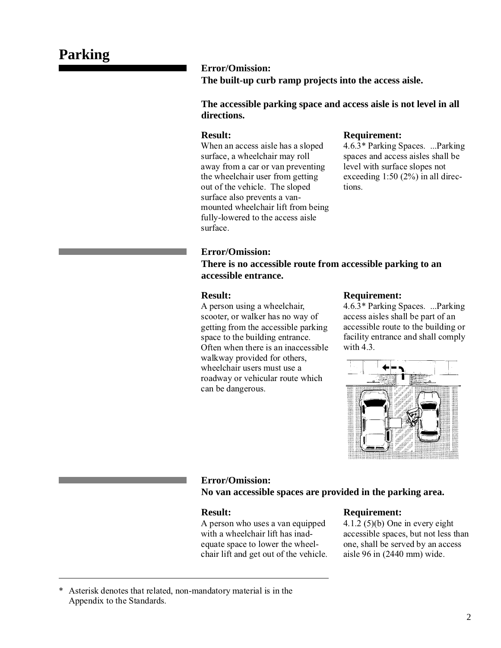**Error/Omission: The built-up curb ramp projects into the access aisle.**

**The accessible parking space and access aisle is not level in all directions.**

### **Result:**

When an access aisle has a sloped surface, a wheelchair may roll away from a car or van preventing the wheelchair user from getting out of the vehicle. The sloped surface also prevents a vanmounted wheelchair lift from being fully-lowered to the access aisle surface.

### **Requirement:**

4.6.3\* Parking Spaces. ...Parking spaces and access aisles shall be level with surface slopes not exceeding 1:50 (2%) in all directions.

### **Error/Omission:**

**There is no accessible route from accessible parking to an accessible entrance.**

### **Result:**

A person using a wheelchair, scooter, or walker has no way of getting from the accessible parking space to the building entrance. Often when there is an inaccessible walkway provided for others, wheelchair users must use a roadway or vehicular route which can be dangerous.

### **Requirement:**

4.6.3\* Parking Spaces. ...Parking access aisles shall be part of an accessible route to the building or facility entrance and shall comply with 4.3.



# **Error/Omission:**

**No van accessible spaces are provided in the parking area.**

### **Result:**

A person who uses a van equipped with a wheelchair lift has inadequate space to lower the wheelchair lift and get out of the vehicle.

### **Requirement:**

4.1.2 (5)(b) One in every eight accessible spaces, but not less than one, shall be served by an access aisle 96 in (2440 mm) wide.

### \* Asterisk denotes that related, non-mandatory material is in the Appendix to the Standards.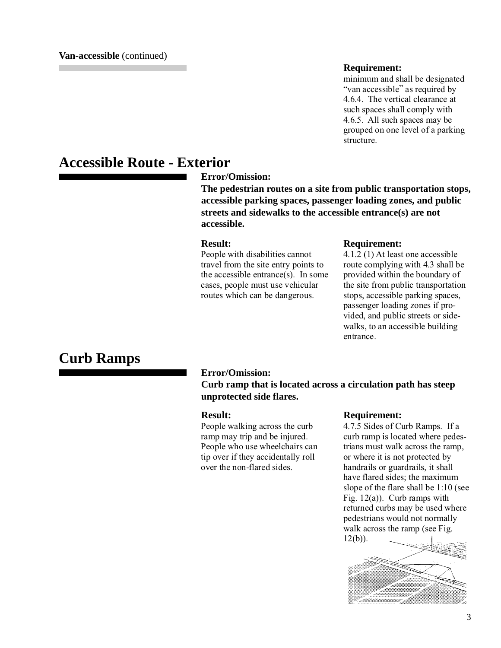### **Requirement:**

minimum and shall be designated "van accessible" as required by 4.6.4. The vertical clearance at such spaces shall comply with 4.6.5. All such spaces may be grouped on one level of a parking structure.

# **Accessible Route - Exterior**

**Error/Omission:**

**The pedestrian routes on a site from public transportation stops, accessible parking spaces, passenger loading zones, and public streets and sidewalks to the accessible entrance(s) are not accessible.**

### **Result:**

People with disabilities cannot travel from the site entry points to the accessible entrance(s). In some cases, people must use vehicular routes which can be dangerous.

### **Requirement:**

4.1.2 (1) At least one accessible route complying with 4.3 shall be provided within the boundary of the site from public transportation stops, accessible parking spaces, passenger loading zones if provided, and public streets or sidewalks, to an accessible building entrance.

# **Curb Ramps**

### **Error/Omission:**

**Curb ramp that is located across a circulation path has steep unprotected side flares.**

### **Result:**

People walking across the curb ramp may trip and be injured. People who use wheelchairs can tip over if they accidentally roll over the non-flared sides.

### **Requirement:**

4.7.5 Sides of Curb Ramps. If a curb ramp is located where pedestrians must walk across the ramp, or where it is not protected by handrails or guardrails, it shall have flared sides; the maximum slope of the flare shall be 1:10 (see Fig.  $12(a)$ ). Curb ramps with returned curbs may be used where pedestrians would not normally walk across the ramp (see Fig. 12(b)).

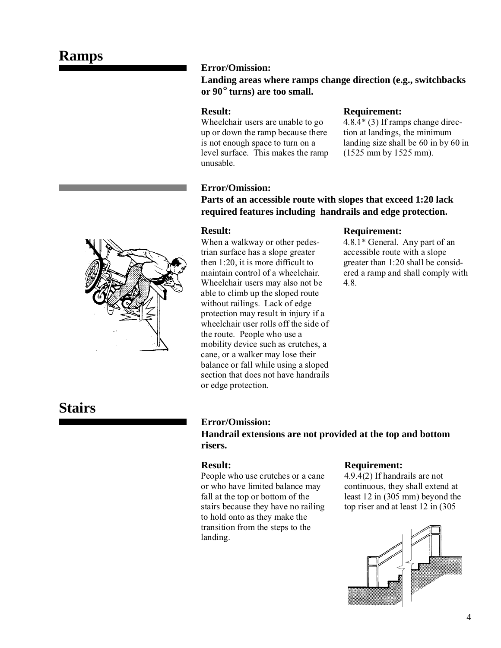# **Ramps**



### **Landing areas where ramps change direction (e.g., switchbacks or 90**° **turns) are too small.**

### **Result:**

Wheelchair users are unable to go up or down the ramp because there is not enough space to turn on a level surface. This makes the ramp unusable.

# **Requirement:**

4.8.4\* (3) If ramps change direction at landings, the minimum landing size shall be 60 in by 60 in (1525 mm by 1525 mm).

### **Error/Omission:**

**Parts of an accessible route with slopes that exceed 1:20 lack required features including handrails and edge protection.**

### **Result:**

When a walkway or other pedestrian surface has a slope greater then 1:20, it is more difficult to maintain control of a wheelchair. Wheelchair users may also not be able to climb up the sloped route without railings. Lack of edge protection may result in injury if a wheelchair user rolls off the side of the route. People who use a mobility device such as crutches, a cane, or a walker may lose their balance or fall while using a sloped section that does not have handrails or edge protection.

### **Requirement:**

4.8.1\* General. Any part of an accessible route with a slope greater than 1:20 shall be considered a ramp and shall comply with 4.8.

# **Stairs**

### **Error/Omission:**

**Handrail extensions are not provided at the top and bottom risers.**

### **Result:**

People who use crutches or a cane or who have limited balance may fall at the top or bottom of the stairs because they have no railing to hold onto as they make the transition from the steps to the landing.

### **Requirement:**

4.9.4(2) If handrails are not continuous, they shall extend at least 12 in (305 mm) beyond the top riser and at least 12 in (305



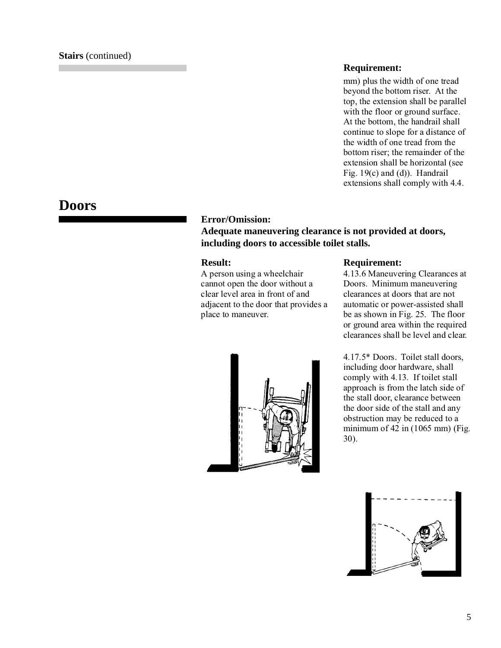### **Requirement:**

mm) plus the width of one tread beyond the bottom riser. At the top, the extension shall be parallel with the floor or ground surface. At the bottom, the handrail shall continue to slope for a distance of the width of one tread from the bottom riser; the remainder of the extension shall be horizontal (see Fig. 19(c) and (d)). Handrail extensions shall comply with 4.4.

## **Doors**

### **Error/Omission:**

**Adequate maneuvering clearance is not provided at doors, including doors to accessible toilet stalls.**

### **Result:**

A person using a wheelchair cannot open the door without a clear level area in front of and adjacent to the door that provides a place to maneuver.



### **Requirement:**

4.13.6 Maneuvering Clearances at Doors. Minimum maneuvering clearances at doors that are not automatic or power-assisted shall be as shown in Fig. 25. The floor or ground area within the required clearances shall be level and clear.

4.17.5\* Doors. Toilet stall doors, including door hardware, shall comply with 4.13. If toilet stall approach is from the latch side of the stall door, clearance between the door side of the stall and any obstruction may be reduced to a minimum of  $42$  in  $(1065$  mm) (Fig. 30).

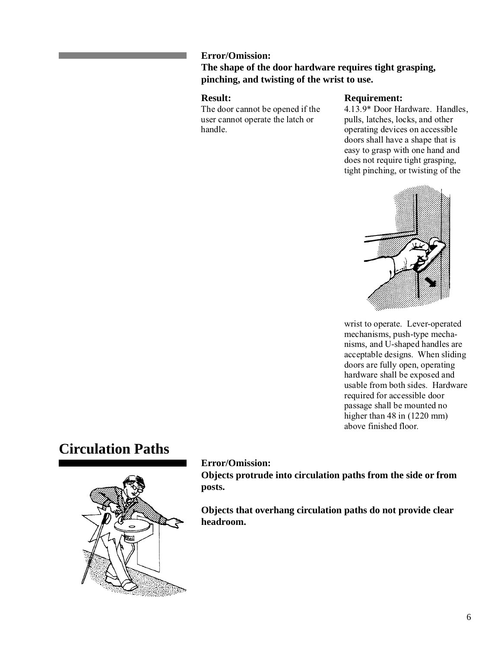### **Error/Omission:**

### **The shape of the door hardware requires tight grasping, pinching, and twisting of the wrist to use.**

### **Result:**

The door cannot be opened if the user cannot operate the latch or handle.

### **Requirement:**

4.13.9\* Door Hardware. Handles, pulls, latches, locks, and other operating devices on accessible doors shall have a shape that is easy to grasp with one hand and does not require tight grasping, tight pinching, or twisting of the



wrist to operate. Lever-operated mechanisms, push-type mechanisms, and U-shaped handles are acceptable designs. When sliding doors are fully open, operating hardware shall be exposed and usable from both sides. Hardware required for accessible door passage shall be mounted no higher than 48 in (1220 mm) above finished floor.

# **Circulation Paths**



**Error/Omission:**

**Objects protrude into circulation paths from the side or from posts.**

**Objects that overhang circulation paths do not provide clear headroom.**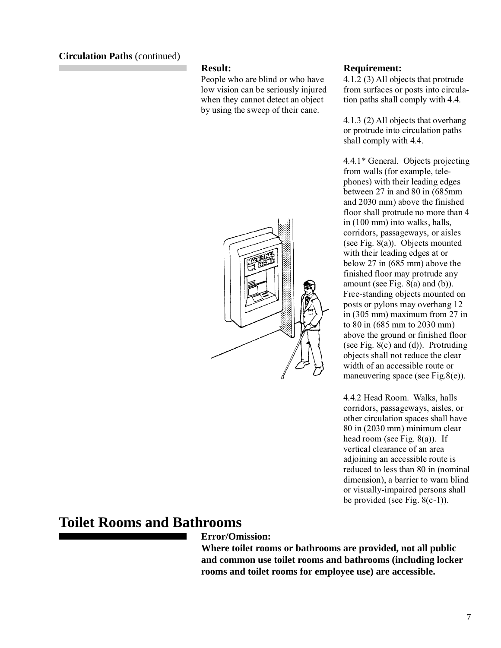### **Circulation Paths** (continued)

### **Result:**

People who are blind or who have low vision can be seriously injured when they cannot detect an object by using the sweep of their cane.



### **Requirement:**

4.1.2 (3) All objects that protrude from surfaces or posts into circulation paths shall comply with 4.4.

4.1.3 (2) All objects that overhang or protrude into circulation paths shall comply with 4.4.

4.4.1\* General. Objects projecting from walls (for example, telephones) with their leading edges between 27 in and 80 in (685mm and 2030 mm) above the finished floor shall protrude no more than 4 in (100 mm) into walks, halls, corridors, passageways, or aisles (see Fig. 8(a)). Objects mounted with their leading edges at or below 27 in (685 mm) above the finished floor may protrude any amount (see Fig.  $8(a)$  and (b)). Free-standing objects mounted on posts or pylons may overhang 12 in (305 mm) maximum from 27 in to 80 in (685 mm to 2030 mm) above the ground or finished floor (see Fig. 8(c) and (d)). Protruding objects shall not reduce the clear width of an accessible route or maneuvering space (see Fig.8(e)).

4.4.2 Head Room. Walks, halls corridors, passageways, aisles, or other circulation spaces shall have 80 in (2030 mm) minimum clear head room (see Fig. 8(a)). If vertical clearance of an area adjoining an accessible route is reduced to less than 80 in (nominal dimension), a barrier to warn blind or visually-impaired persons shall be provided (see Fig.  $8(c-1)$ ).

# **Toilet Rooms and Bathrooms**

**Error/Omission:**

**Where toilet rooms or bathrooms are provided, not all public and common use toilet rooms and bathrooms (including locker rooms and toilet rooms for employee use) are accessible.**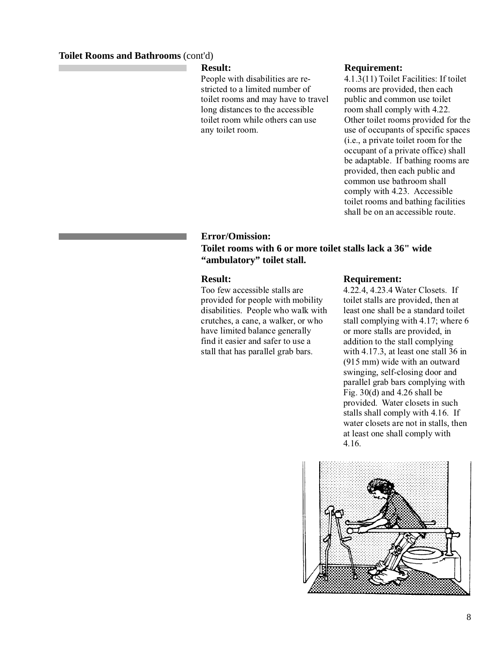### **Toilet Rooms and Bathrooms** (cont'd)

### **Result:**

People with disabilities are restricted to a limited number of toilet rooms and may have to travel long distances to the accessible toilet room while others can use any toilet room.

### **Requirement:**

4.1.3(11) Toilet Facilities: If toilet rooms are provided, then each public and common use toilet room shall comply with 4.22. Other toilet rooms provided for the use of occupants of specific spaces (i.e., a private toilet room for the occupant of a private office) shall be adaptable. If bathing rooms are provided, then each public and common use bathroom shall comply with 4.23. Accessible toilet rooms and bathing facilities shall be on an accessible route.

### **Error/Omission: Toilet rooms with 6 or more toilet stalls lack a 36" wide "ambulatory" toilet stall.**

### **Result:**

Too few accessible stalls are provided for people with mobility disabilities. People who walk with crutches, a cane, a walker, or who have limited balance generally find it easier and safer to use a stall that has parallel grab bars.

### **Requirement:**

4.22.4, 4.23.4 Water Closets. If toilet stalls are provided, then at least one shall be a standard toilet stall complying with 4.17; where 6 or more stalls are provided, in addition to the stall complying with 4.17.3, at least one stall 36 in (915 mm) wide with an outward swinging, self-closing door and parallel grab bars complying with Fig. 30(d) and 4.26 shall be provided. Water closets in such stalls shall comply with 4.16. If water closets are not in stalls, then at least one shall comply with 4.16.

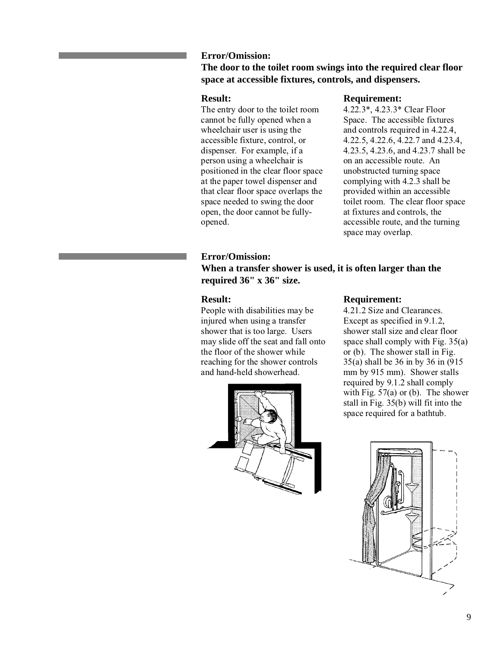### **Error/Omission:**

**The door to the toilet room swings into the required clear floor space at accessible fixtures, controls, and dispensers.**

### **Result:**

The entry door to the toilet room cannot be fully opened when a wheelchair user is using the accessible fixture, control, or dispenser. For example, if a person using a wheelchair is positioned in the clear floor space at the paper towel dispenser and that clear floor space overlaps the space needed to swing the door open, the door cannot be fullyopened.

### **Error/Omission:**

### **When a transfer shower is used, it is often larger than the required 36" x 36" size.**

### **Result:**

People with disabilities may be injured when using a transfer shower that is too large. Users may slide off the seat and fall onto the floor of the shower while reaching for the shower controls and hand-held showerhead.



### **Requirement:**

4.22.3\*, 4.23.3\* Clear Floor Space. The accessible fixtures and controls required in 4.22.4, 4.22.5, 4.22.6, 4.22.7 and 4.23.4, 4.23.5, 4.23.6, and 4.23.7 shall be on an accessible route. An unobstructed turning space complying with 4.2.3 shall be provided within an accessible toilet room. The clear floor space at fixtures and controls, the accessible route, and the turning space may overlap.

### **Requirement:**

4.21.2 Size and Clearances. Except as specified in 9.1.2, shower stall size and clear floor space shall comply with Fig. 35(a) or (b). The shower stall in Fig. 35(a) shall be 36 in by 36 in (915 mm by 915 mm). Shower stalls required by 9.1.2 shall comply with Fig.  $57(a)$  or (b). The shower stall in Fig. 35(b) will fit into the space required for a bathtub.

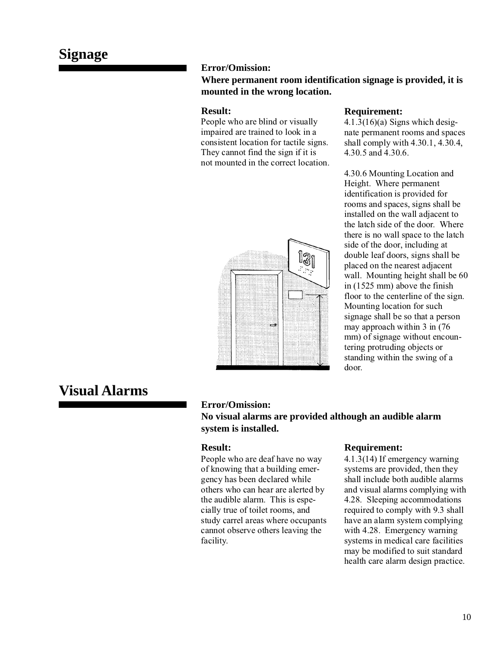### **Error/Omission:**

### **Where permanent room identification signage is provided, it is mounted in the wrong location.**

### **Result:**

People who are blind or visually impaired are trained to look in a consistent location for tactile signs. They cannot find the sign if it is not mounted in the correct location.



### **Requirement:**

 $4.1.3(16)(a)$  Signs which designate permanent rooms and spaces shall comply with 4.30.1, 4.30.4, 4.30.5 and 4.30.6.

4.30.6 Mounting Location and Height. Where permanent identification is provided for rooms and spaces, signs shall be installed on the wall adjacent to the latch side of the door. Where there is no wall space to the latch side of the door, including at double leaf doors, signs shall be placed on the nearest adjacent wall. Mounting height shall be 60 in (1525 mm) above the finish floor to the centerline of the sign. Mounting location for such signage shall be so that a person may approach within 3 in (76 mm) of signage without encountering protruding objects or standing within the swing of a door.

# **Visual Alarms**

### **Error/Omission:**

### **No visual alarms are provided although an audible alarm system is installed.**

### **Result:**

People who are deaf have no way of knowing that a building emergency has been declared while others who can hear are alerted by the audible alarm. This is especially true of toilet rooms, and study carrel areas where occupants cannot observe others leaving the facility.

### **Requirement:**

4.1.3(14) If emergency warning systems are provided, then they shall include both audible alarms and visual alarms complying with 4.28. Sleeping accommodations required to comply with 9.3 shall have an alarm system complying with 4.28. Emergency warning systems in medical care facilities may be modified to suit standard health care alarm design practice.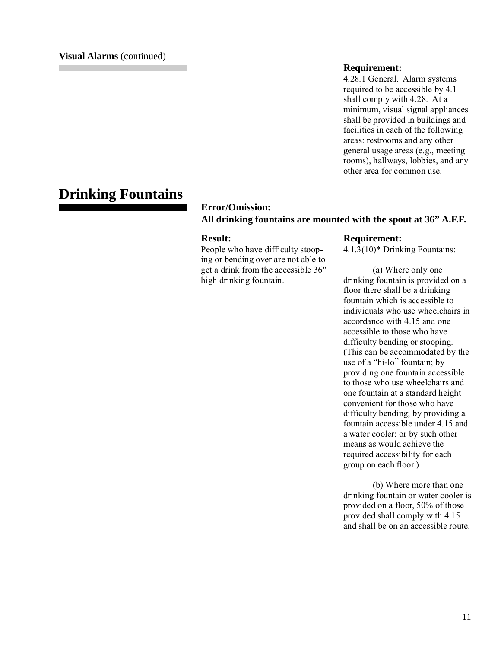### **Requirement:**

4.28.1 General. Alarm systems required to be accessible by 4.1 shall comply with 4.28. At a minimum, visual signal appliances shall be provided in buildings and facilities in each of the following areas: restrooms and any other general usage areas (e.g., meeting rooms), hallways, lobbies, and any other area for common use.

# **Drinking Fountains**

### **Error/Omission: All drinking fountains are mounted with the spout at 36" A.F.F.**

### **Result:**

People who have difficulty stooping or bending over are not able to get a drink from the accessible 36" high drinking fountain.

### **Requirement:**

4.1.3(10)\* Drinking Fountains:

(a) Where only one drinking fountain is provided on a floor there shall be a drinking fountain which is accessible to individuals who use wheelchairs in accordance with 4.15 and one accessible to those who have difficulty bending or stooping. (This can be accommodated by the use of a "hi-lo" fountain; by providing one fountain accessible to those who use wheelchairs and one fountain at a standard height convenient for those who have difficulty bending; by providing a fountain accessible under 4.15 and a water cooler; or by such other means as would achieve the required accessibility for each group on each floor.)

(b) Where more than one drinking fountain or water cooler is provided on a floor, 50% of those provided shall comply with 4.15 and shall be on an accessible route.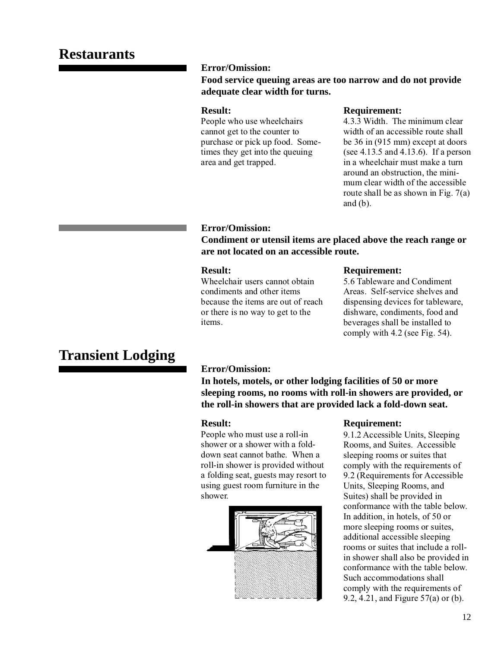### **Error/Omission:**

### **Food service queuing areas are too narrow and do not provide adequate clear width for turns.**

### **Result:**

People who use wheelchairs cannot get to the counter to purchase or pick up food. Sometimes they get into the queuing area and get trapped.

### **Requirement:**

4.3.3 Width. The minimum clear width of an accessible route shall be 36 in (915 mm) except at doors (see 4.13.5 and 4.13.6). If a person in a wheelchair must make a turn around an obstruction, the minimum clear width of the accessible route shall be as shown in Fig. 7(a) and  $(b)$ .

### **Error/Omission:**

**Condiment or utensil items are placed above the reach range or are not located on an accessible route.**

### **Result:**

Wheelchair users cannot obtain condiments and other items because the items are out of reach or there is no way to get to the items.

### **Requirement:**

5.6 Tableware and Condiment Areas. Self-service shelves and dispensing devices for tableware, dishware, condiments, food and beverages shall be installed to comply with 4.2 (see Fig. 54).

# **Transient Lodging**

### **Error/Omission:**

**In hotels, motels, or other lodging facilities of 50 or more sleeping rooms, no rooms with roll-in showers are provided, or the roll-in showers that are provided lack a fold-down seat.**

### **Result:**

People who must use a roll-in shower or a shower with a folddown seat cannot bathe. When a roll-in shower is provided without a folding seat, guests may resort to using guest room furniture in the shower.



### **Requirement:**

9.1.2 Accessible Units, Sleeping Rooms, and Suites. Accessible sleeping rooms or suites that comply with the requirements of 9.2 (Requirements for Accessible Units, Sleeping Rooms, and Suites) shall be provided in conformance with the table below. In addition, in hotels, of 50 or more sleeping rooms or suites, additional accessible sleeping rooms or suites that include a rollin shower shall also be provided in conformance with the table below. Such accommodations shall comply with the requirements of 9.2, 4.21, and Figure 57(a) or (b).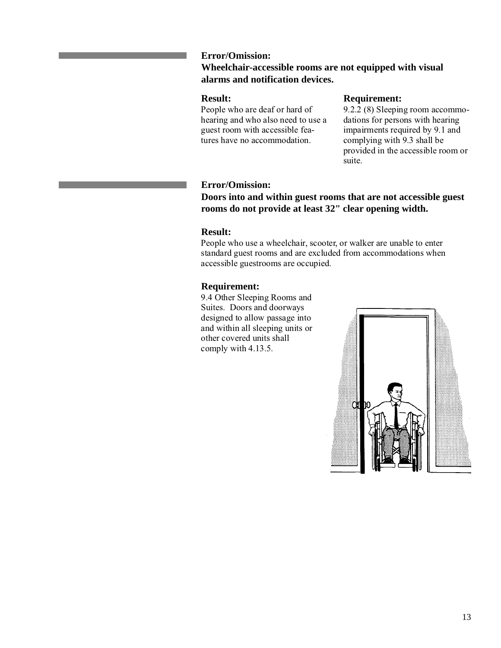### **Error/Omission:**

### **Wheelchair-accessible rooms are not equipped with visual alarms and notification devices.**

### **Result:**

People who are deaf or hard of hearing and who also need to use a guest room with accessible features have no accommodation.

### **Requirement:**

9.2.2 (8) Sleeping room accommodations for persons with hearing impairments required by 9.1 and complying with 9.3 shall be provided in the accessible room or suite.

### **Error/Omission:**

**Doors into and within guest rooms that are not accessible guest rooms do not provide at least 32" clear opening width.**

### **Result:**

People who use a wheelchair, scooter, or walker are unable to enter standard guest rooms and are excluded from accommodations when accessible guestrooms are occupied.

### **Requirement:**

9.4 Other Sleeping Rooms and Suites. Doors and doorways designed to allow passage into and within all sleeping units or other covered units shall comply with 4.13.5.

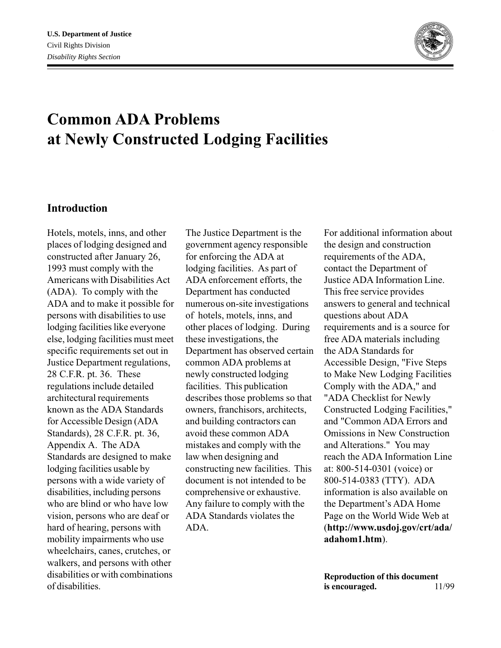

# **Common ADA Problems at Newly Constructed Lodging Facilities**

### **Introduction**

Hotels, motels, inns, and other places of lodging designed and constructed after January 26, 1993 must comply with the Americans with Disabilities Act (ADA). To comply with the ADA and to make it possible for persons with disabilities to use lodging facilities like everyone else, lodging facilities must meet specific requirements set out in Justice Department regulations, 28 C.F.R. pt. 36. These regulations include detailed architectural requirements known as the ADA Standards for Accessible Design (ADA Standards), 28 C.F.R. pt. 36, Appendix A. The ADA Standards are designed to make lodging facilities usable by persons with a wide variety of disabilities, including persons who are blind or who have low vision, persons who are deaf or hard of hearing, persons with mobility impairments who use wheelchairs, canes, crutches, or walkers, and persons with other disabilities or with combinations of disabilities.

The Justice Department is the government agency responsible for enforcing the ADA at lodging facilities. As part of ADA enforcement efforts, the Department has conducted numerous on-site investigations of hotels, motels, inns, and other places of lodging. During these investigations, the Department has observed certain common ADA problems at newly constructed lodging facilities. This publication describes those problems so that owners, franchisors, architects, and building contractors can avoid these common ADA mistakes and comply with the law when designing and constructing new facilities. This document is not intended to be comprehensive or exhaustive. Any failure to comply with the ADA Standards violates the ADA.

For additional information about the design and construction requirements of the ADA, contact the Department of Justice ADA Information Line. This free service provides answers to general and technical questions about ADA requirements and is a source for free ADA materials including the ADA Standards for Accessible Design, "Five Steps to Make New Lodging Facilities Comply with the ADA," and "ADA Checklist for Newly Constructed Lodging Facilities," and "Common ADA Errors and Omissions in New Construction and Alterations." You may reach the ADA Information Line at: 800-514-0301 (voice) or 800-514-0383 (TTY). ADA information is also available on the Department's ADA Home Page on the World Wide Web at (**http://www.usdoj.gov/crt/ada/ adahom1.htm**).

**Reproduction of this document is encouraged.** 11/99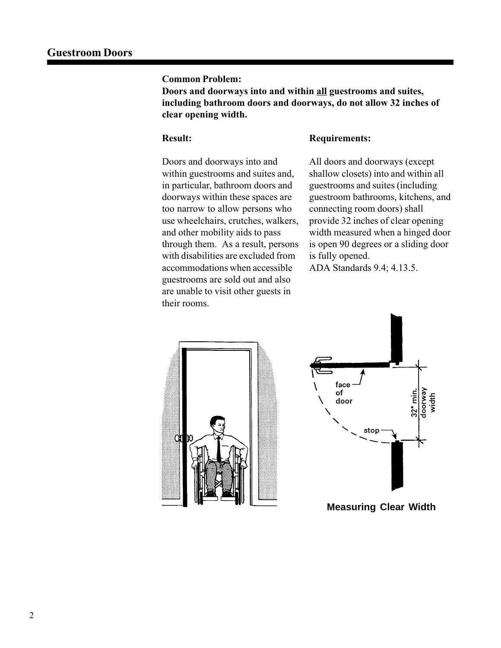**Doors and doorways into and within all guestrooms and suites, including bathroom doors and doorways, do not allow 32 inches of clear opening width.**

### **Result:**

### **Requirements:**

Doors and doorways into and within guestrooms and suites and, in particular, bathroom doors and doorways within these spaces are too narrow to allow persons who use wheelchairs, crutches, walkers, and other mobility aids to pass through them. As a result, persons with disabilities are excluded from accommodations when accessible guestrooms are sold out and also are unable to visit other guests in their rooms.

All doors and doorways (except shallow closets) into and within all guestrooms and suites (including guestroom bathrooms, kitchens, and connecting room doors) shall provide 32 inches of clear opening width measured when a hinged door is open 90 degrees or a sliding door is fully opened.

ADA Standards 9.4; 4.13.5.





**Measuring Clear Width**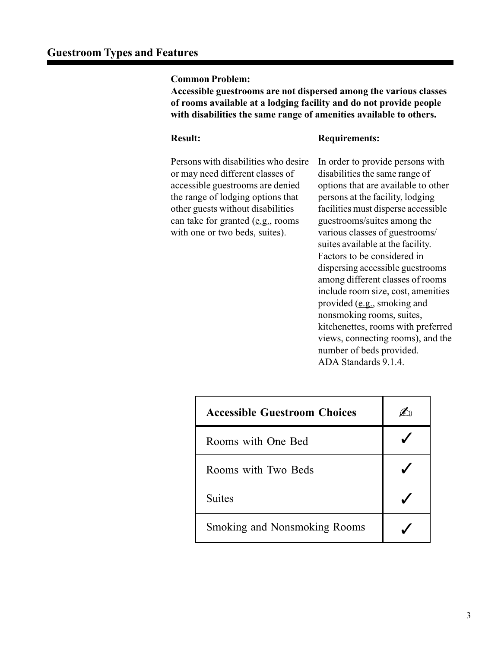**Accessible guestrooms are not dispersed among the various classes of rooms available at a lodging facility and do not provide people with disabilities the same range of amenities available to others.**

### **Result:**

### **Requirements:**

Persons with disabilities who desire or may need different classes of accessible guestrooms are denied the range of lodging options that other guests without disabilities can take for granted (e.g., rooms with one or two beds, suites).

In order to provide persons with disabilities the same range of options that are available to other persons at the facility, lodging facilities must disperse accessible guestrooms/suites among the various classes of guestrooms/ suites available at the facility. Factors to be considered in dispersing accessible guestrooms among different classes of rooms include room size, cost, amenities provided (e.g., smoking and nonsmoking rooms, suites, kitchenettes, rooms with preferred views, connecting rooms), and the number of beds provided. ADA Standards 9.1.4.

| <b>Accessible Guestroom Choices</b> |  |
|-------------------------------------|--|
| Rooms with One Bed                  |  |
| Rooms with Two Beds                 |  |
| <b>Suites</b>                       |  |
| <b>Smoking and Nonsmoking Rooms</b> |  |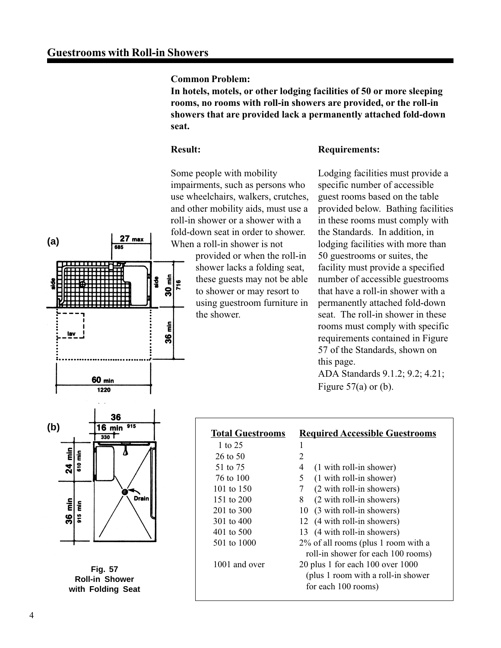$27$  max 685

**Common Problem:**

**In hotels, motels, or other lodging facilities of 50 or more sleeping rooms, no rooms with roll-in showers are provided, or the roll-in showers that are provided lack a permanently attached fold-down seat.**

### **Result:**

30 min  $rac{8}{3}$ 

36 min

716

### **Requirements:**

Some people with mobility impairments, such as persons who use wheelchairs, walkers, crutches, and other mobility aids, must use a roll-in shower or a shower with a fold-down seat in order to shower. When a roll-in shower is not

> provided or when the roll-in shower lacks a folding seat, these guests may not be able to shower or may resort to using guestroom furniture in the shower.

Lodging facilities must provide a specific number of accessible guest rooms based on the table provided below. Bathing facilities in these rooms must comply with the Standards. In addition, in lodging facilities with more than 50 guestrooms or suites, the facility must provide a specified number of accessible guestrooms that have a roll-in shower with a permanently attached fold-down seat. The roll-in shower in these rooms must comply with specific requirements contained in Figure 57 of the Standards, shown on this page. ADA Standards 9.1.2; 9.2; 4.21; Figure  $57(a)$  or (b).



**60 min** 1220

**Fig. 57 Roll-in Shower with Folding Seat**

| <b>Total Guestrooms</b>             | <b>Required Accessible Guestrooms</b> |
|-------------------------------------|---------------------------------------|
| 1 to 25                             | 1                                     |
| 26 to 50                            | 2                                     |
| 51 to 75                            | $(1 with roll-in shower)$<br>4        |
| 76 to 100                           | 5<br>(1 with roll-in shower)          |
| 101 to 150                          | (2 with roll-in showers)<br>7         |
| 151 to $200$                        | (2 with roll-in showers)<br>8         |
| 201 to 300                          | 10 (3 with roll-in showers)           |
| 301 to 400                          | 12 (4 with roll-in showers)           |
| 401 to 500                          | 13 (4 with roll-in showers)           |
| 501 to 1000                         | 2% of all rooms (plus 1 room with a   |
|                                     | roll-in shower for each 100 rooms)    |
| 1001 and over                       | 20 plus 1 for each $100$ over $1000$  |
| (plus 1 room with a roll-in shower) |                                       |
|                                     | for each 100 rooms)                   |

**(a)**

lav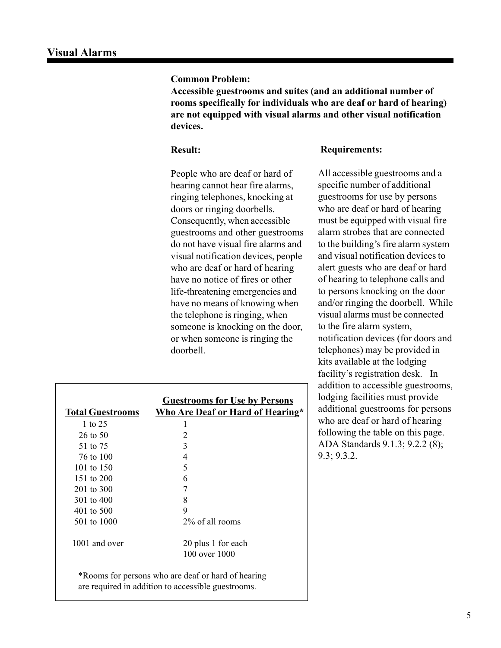**Accessible guestrooms and suites (and an additional number of rooms specifically for individuals who are deaf or hard of hearing) are not equipped with visual alarms and other visual notification devices.**

### **Result:**

### **Requirements:**

People who are deaf or hard of hearing cannot hear fire alarms, ringing telephones, knocking at doors or ringing doorbells. Consequently, when accessible guestrooms and other guestrooms do not have visual fire alarms and visual notification devices, people who are deaf or hard of hearing have no notice of fires or other life-threatening emergencies and have no means of knowing when the telephone is ringing, when someone is knocking on the door, or when someone is ringing the doorbell.

All accessible guestrooms and a specific number of additional guestrooms for use by persons who are deaf or hard of hearing must be equipped with visual fire alarm strobes that are connected to the building's fire alarm system and visual notification devices to alert guests who are deaf or hard of hearing to telephone calls and to persons knocking on the door and/or ringing the doorbell. While visual alarms must be connected to the fire alarm system, notification devices (for doors and telephones) may be provided in kits available at the lodging facility's registration desk. In addition to accessible guestrooms, lodging facilities must provide additional guestrooms for persons who are deaf or hard of hearing following the table on this page. ADA Standards 9.1.3; 9.2.2 (8); 9.3; 9.3.2.

|                                                                                                          | <b>Guestrooms for Use by Persons</b> |
|----------------------------------------------------------------------------------------------------------|--------------------------------------|
| <b>Total Guestrooms</b>                                                                                  | Who Are Deaf or Hard of Hearing*     |
| 1 to 25                                                                                                  |                                      |
| $26$ to $50$                                                                                             | 2                                    |
| 51 to 75                                                                                                 | 3                                    |
| 76 to 100                                                                                                | 4                                    |
| 101 to $150$                                                                                             | 5                                    |
| 151 to 200                                                                                               | 6                                    |
| 201 to 300                                                                                               | 7                                    |
| 301 to 400                                                                                               | 8                                    |
| 401 to 500                                                                                               | 9                                    |
| 501 to 1000                                                                                              | 2% of all rooms                      |
| 1001 and over                                                                                            | 20 plus 1 for each                   |
|                                                                                                          | 100 over 1000                        |
| *Rooms for persons who are deaf or hard of hearing<br>are required in addition to accessible guestrooms. |                                      |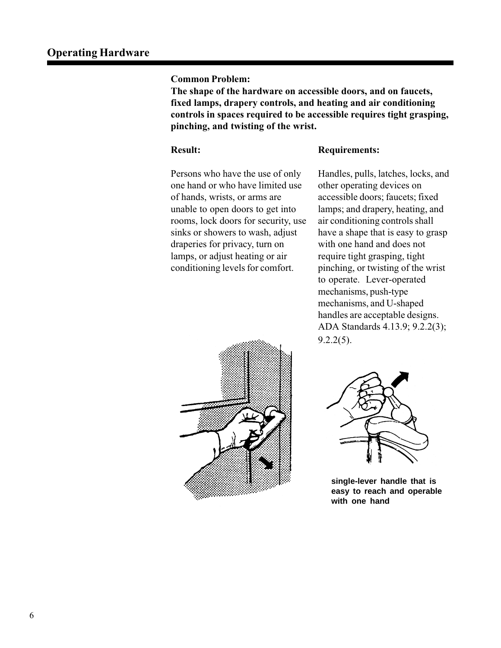**The shape of the hardware on accessible doors, and on faucets, fixed lamps, drapery controls, and heating and air conditioning controls in spaces required to be accessible requires tight grasping, pinching, and twisting of the wrist.**

### **Result:**

### **Requirements:**

Persons who have the use of only one hand or who have limited use of hands, wrists, or arms are unable to open doors to get into rooms, lock doors for security, use sinks or showers to wash, adjust draperies for privacy, turn on lamps, or adjust heating or air conditioning levels for comfort.



Handles, pulls, latches, locks, and other operating devices on accessible doors; faucets; fixed lamps; and drapery, heating, and air conditioning controls shall have a shape that is easy to grasp with one hand and does not require tight grasping, tight pinching, or twisting of the wrist to operate. Lever-operated mechanisms, push-type mechanisms, and U-shaped handles are acceptable designs. ADA Standards 4.13.9; 9.2.2(3); 9.2.2(5).



**single-lever handle that is easy to reach and operable with one hand**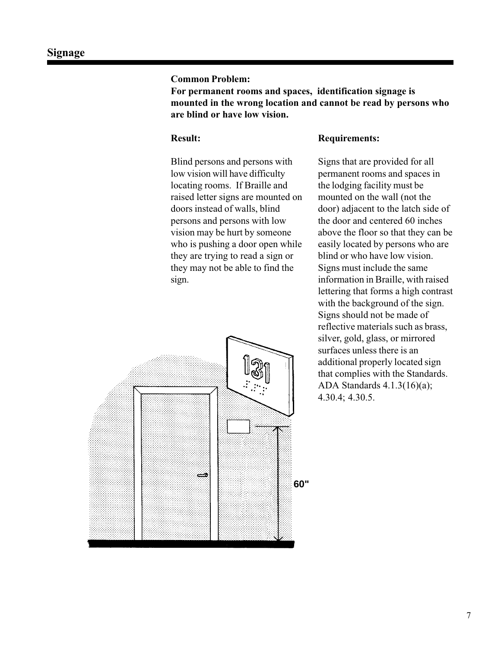**For permanent rooms and spaces, identification signage is mounted in the wrong location and cannot be read by persons who are blind or have low vision.**

### **Result:**

Blind persons and persons with low vision will have difficulty locating rooms. If Braille and raised letter signs are mounted on doors instead of walls, blind persons and persons with low vision may be hurt by someone who is pushing a door open while they are trying to read a sign or they may not be able to find the sign.

# ڪ **60"**

### **Requirements:**

Signs that are provided for all permanent rooms and spaces in the lodging facility must be mounted on the wall (not the door) adjacent to the latch side of the door and centered 60 inches above the floor so that they can be easily located by persons who are blind or who have low vision. Signs must include the same information in Braille, with raised lettering that forms a high contrast with the background of the sign. Signs should not be made of reflective materials such as brass, silver, gold, glass, or mirrored surfaces unless there is an additional properly located sign that complies with the Standards. ADA Standards 4.1.3(16)(a); 4.30.4; 4.30.5.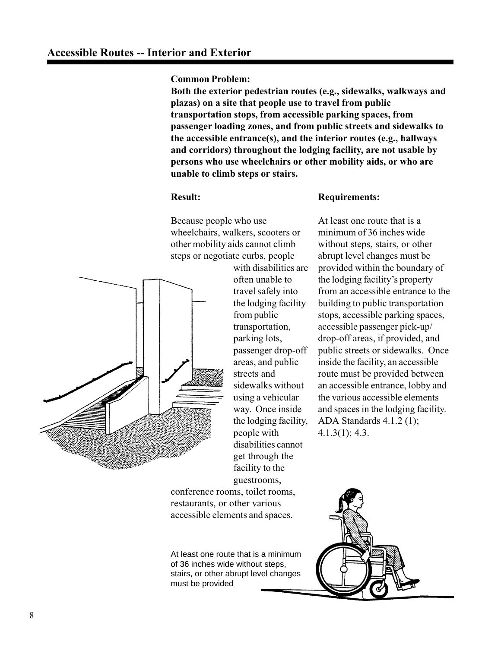**Both the exterior pedestrian routes (e.g., sidewalks, walkways and plazas) on a site that people use to travel from public transportation stops, from accessible parking spaces, from passenger loading zones, and from public streets and sidewalks to the accessible entrance(s), and the interior routes (e.g., hallways and corridors) throughout the lodging facility, are not usable by persons who use wheelchairs or other mobility aids, or who are unable to climb steps or stairs.**

### **Result:**

Because people who use wheelchairs, walkers, scooters or other mobility aids cannot climb steps or negotiate curbs, people



with disabilities are often unable to travel safely into the lodging facility from public transportation, parking lots, passenger drop-off areas, and public streets and sidewalks without using a vehicular way. Once inside the lodging facility, people with disabilities cannot get through the facility to the guestrooms,

conference rooms, toilet rooms, restaurants, or other various accessible elements and spaces.

At least one route that is a minimum of 36 inches wide without steps, stairs, or other abrupt level changes must be provided

### **Requirements:**

At least one route that is a minimum of 36 inches wide without steps, stairs, or other abrupt level changes must be provided within the boundary of the lodging facility's property from an accessible entrance to the building to public transportation stops, accessible parking spaces, accessible passenger pick-up/ drop-off areas, if provided, and public streets or sidewalks. Once inside the facility, an accessible route must be provided between an accessible entrance, lobby and the various accessible elements and spaces in the lodging facility. ADA Standards 4.1.2 (1); 4.1.3(1); 4.3.

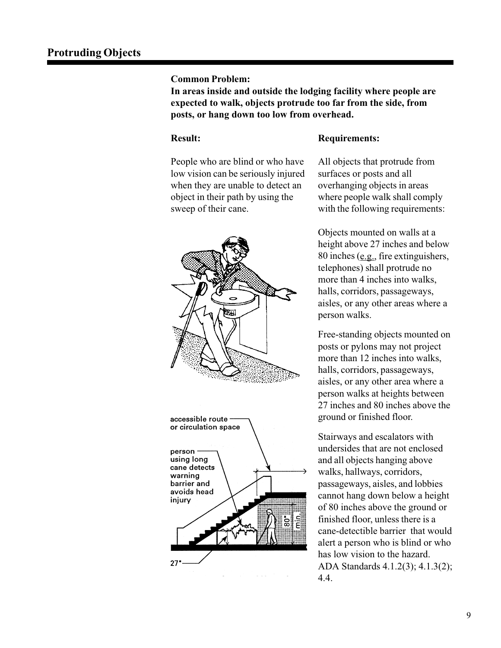**In areas inside and outside the lodging facility where people are expected to walk, objects protrude too far from the side, from posts, or hang down too low from overhead.**

### **Result:**

### **Requirements:**

People who are blind or who have low vision can be seriously injured when they are unable to detect an object in their path by using the sweep of their cane.





All objects that protrude from surfaces or posts and all overhanging objects in areas where people walk shall comply with the following requirements:

Objects mounted on walls at a height above 27 inches and below 80 inches (e.g., fire extinguishers, telephones) shall protrude no more than 4 inches into walks, halls, corridors, passageways, aisles, or any other areas where a person walks.

Free-standing objects mounted on posts or pylons may not project more than 12 inches into walks, halls, corridors, passageways, aisles, or any other area where a person walks at heights between 27 inches and 80 inches above the ground or finished floor.

Stairways and escalators with undersides that are not enclosed and all objects hanging above walks, hallways, corridors, passageways, aisles, and lobbies cannot hang down below a height of 80 inches above the ground or finished floor, unless there is a cane-detectible barrier that would alert a person who is blind or who has low vision to the hazard. ADA Standards 4.1.2(3); 4.1.3(2); 4.4.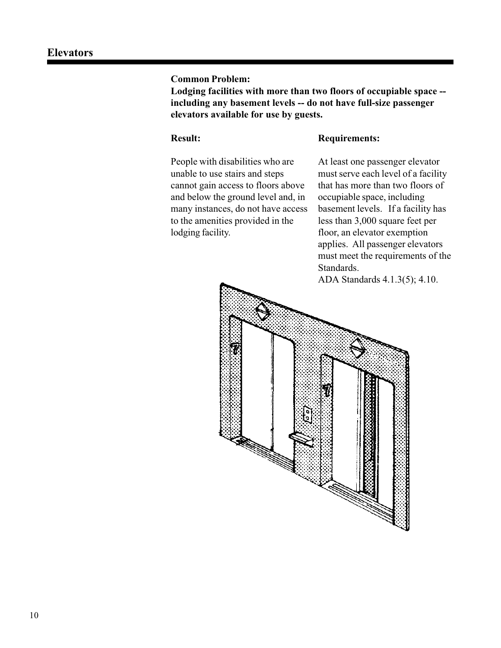**Lodging facilities with more than two floors of occupiable space - including any basement levels -- do not have full-size passenger elevators available for use by guests.**

### **Result:**

### **Requirements:**

People with disabilities who are unable to use stairs and steps cannot gain access to floors above and below the ground level and, in many instances, do not have access to the amenities provided in the lodging facility.

At least one passenger elevator must serve each level of a facility that has more than two floors of occupiable space, including basement levels. If a facility has less than 3,000 square feet per floor, an elevator exemption applies. All passenger elevators must meet the requirements of the Standards.

ADA Standards 4.1.3(5); 4.10.